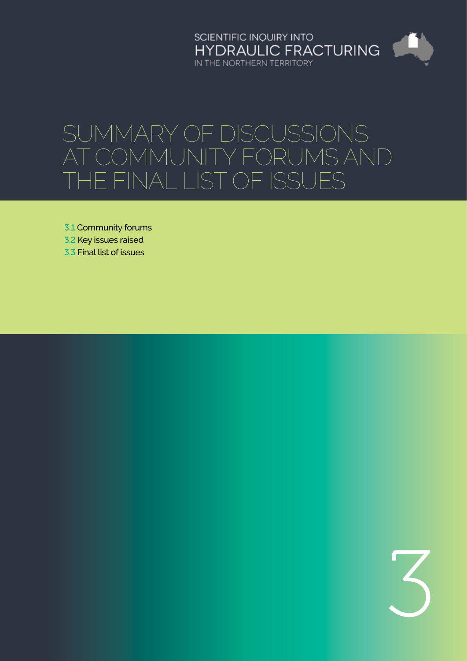SCIENTIFIC INQUIRY INTO HYDRAULIC FRACTURING IN THE NORTHERN TERRITORY

# Summary of discussions at community forums and the final list of issues

3.1 [Community forums](#page-1-0)

- 3.2 Key issues raised
- 3.3 [Final list of issues](#page-5-0)

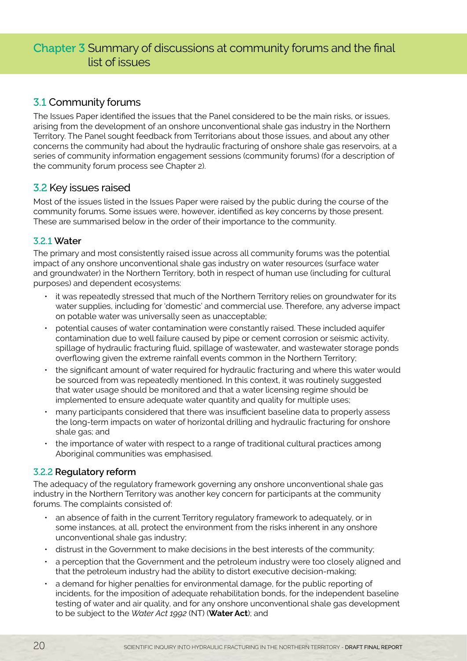# <span id="page-1-0"></span>Chapter 3 Summary of discussions at community forums and the final list of issues

# 3.1 Community forums

The Issues Paper identified the issues that the Panel considered to be the main risks, or issues, arising from the development of an onshore unconventional shale gas industry in the Northern Territory. The Panel sought feedback from Territorians about those issues, and about any other concerns the community had about the hydraulic fracturing of onshore shale gas reservoirs, at a series of community information engagement sessions (community forums) (for a description of the community forum process see Chapter 2).

# 3.2 Key issues raised

Most of the issues listed in the Issues Paper were raised by the public during the course of the community forums. Some issues were, however, identified as key concerns by those present. These are summarised below in the order of their importance to the community.

### 3.2.1 **Water**

The primary and most consistently raised issue across all community forums was the potential impact of any onshore unconventional shale gas industry on water resources (surface water and groundwater) in the Northern Territory, both in respect of human use (including for cultural purposes) and dependent ecosystems:

- it was repeatedly stressed that much of the Northern Territory relies on groundwater for its water supplies, including for 'domestic' and commercial use. Therefore, any adverse impact on potable water was universally seen as unacceptable;
- potential causes of water contamination were constantly raised. These included aquifer contamination due to well failure caused by pipe or cement corrosion or seismic activity, spillage of hydraulic fracturing fluid, spillage of wastewater, and wastewater storage ponds overflowing given the extreme rainfall events common in the Northern Territory;
- the significant amount of water required for hydraulic fracturing and where this water would be sourced from was repeatedly mentioned. In this context, it was routinely suggested that water usage should be monitored and that a water licensing regime should be implemented to ensure adequate water quantity and quality for multiple uses;
- many participants considered that there was insufficient baseline data to properly assess the long-term impacts on water of horizontal drilling and hydraulic fracturing for onshore shale gas; and
- the importance of water with respect to a range of traditional cultural practices among Aboriginal communities was emphasised.

## 3.2.2 **Regulatory reform**

The adequacy of the regulatory framework governing any onshore unconventional shale gas industry in the Northern Territory was another key concern for participants at the community forums. The complaints consisted of:

- an absence of faith in the current Territory regulatory framework to adequately, or in some instances, at all, protect the environment from the risks inherent in any onshore unconventional shale gas industry;
- distrust in the Government to make decisions in the best interests of the community;
- a perception that the Government and the petroleum industry were too closely aligned and that the petroleum industry had the ability to distort executive decision-making;
- a demand for higher penalties for environmental damage, for the public reporting of incidents, for the imposition of adequate rehabilitation bonds, for the independent baseline testing of water and air quality, and for any onshore unconventional shale gas development to be subject to the *Water Act 1992* (NT) (**Water Act**); and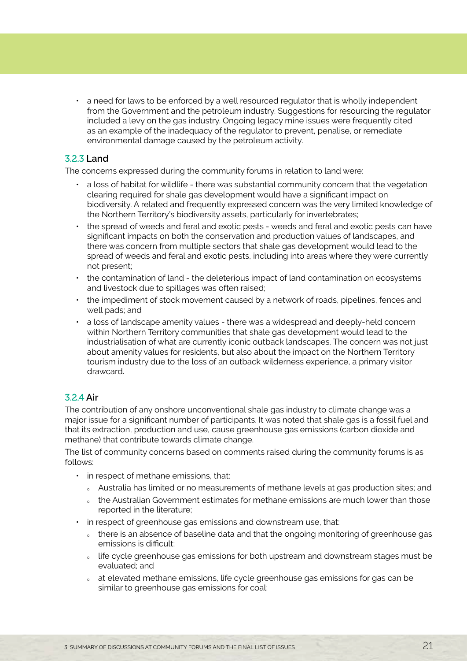• a need for laws to be enforced by a well resourced regulator that is wholly independent from the Government and the petroleum industry. Suggestions for resourcing the regulator included a levy on the gas industry. Ongoing legacy mine issues were frequently cited as an example of the inadequacy of the regulator to prevent, penalise, or remediate environmental damage caused by the petroleum activity.

#### 3.2.3 **Land**

The concerns expressed during the community forums in relation to land were:

- a loss of habitat for wildlife there was substantial community concern that the vegetation clearing required for shale gas development would have a significant impact on biodiversity. A related and frequently expressed concern was the very limited knowledge of the Northern Territory's biodiversity assets, particularly for invertebrates;
- the spread of weeds and feral and exotic pests weeds and feral and exotic pests can have significant impacts on both the conservation and production values of landscapes, and there was concern from multiple sectors that shale gas development would lead to the spread of weeds and feral and exotic pests, including into areas where they were currently not present;
- the contamination of land the deleterious impact of land contamination on ecosystems and livestock due to spillages was often raised;
- the impediment of stock movement caused by a network of roads, pipelines, fences and well pads; and
- a loss of landscape amenity values there was a widespread and deeply-held concern within Northern Territory communities that shale gas development would lead to the industrialisation of what are currently iconic outback landscapes. The concern was not just about amenity values for residents, but also about the impact on the Northern Territory tourism industry due to the loss of an outback wilderness experience, a primary visitor drawcard.

#### 3.2.4 **Air**

The contribution of any onshore unconventional shale gas industry to climate change was a major issue for a significant number of participants. It was noted that shale gas is a fossil fuel and that its extraction, production and use, cause greenhouse gas emissions (carbon dioxide and methane) that contribute towards climate change.

The list of community concerns based on comments raised during the community forums is as follows:

- in respect of methane emissions, that:
	- <sup>Ȉ</sup> Australia has limited or no measurements of methane levels at gas production sites; and
	- o the Australian Government estimates for methane emissions are much lower than those reported in the literature;
- in respect of greenhouse gas emissions and downstream use, that:
	- o there is an absence of baseline data and that the ongoing monitoring of greenhouse gas emissions is difficult;
	- o life cycle greenhouse gas emissions for both upstream and downstream stages must be evaluated; and
	- o at elevated methane emissions, life cycle greenhouse gas emissions for gas can be similar to greenhouse gas emissions for coal;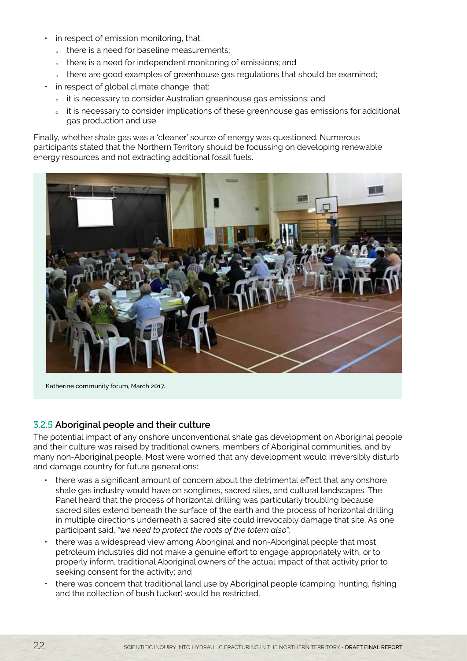- in respect of emission monitoring, that:
	- <sup>Ȉ</sup> there is a need for baseline measurements;
	- o there is a need for independent monitoring of emissions; and
	- outhere are good examples of greenhouse gas regulations that should be examined;
- in respect of global climate change, that:
	- <sup>Ȉ</sup> it is necessary to consider Australian greenhouse gas emissions; and
	- out it is necessary to consider implications of these greenhouse gas emissions for additional gas production and use.

Finally, whether shale gas was a 'cleaner' source of energy was questioned. Numerous participants stated that the Northern Territory should be focussing on developing renewable energy resources and not extracting additional fossil fuels.



Katherine community forum, March 2017.

#### 3.2.5 **Aboriginal people and their culture**

The potential impact of any onshore unconventional shale gas development on Aboriginal people and their culture was raised by traditional owners, members of Aboriginal communities, and by many non-Aboriginal people. Most were worried that any development would irreversibly disturb and damage country for future generations:

- there was a significant amount of concern about the detrimental effect that any onshore shale gas industry would have on songlines, sacred sites, and cultural landscapes. The Panel heard that the process of horizontal drilling was particularly troubling because sacred sites extend beneath the surface of the earth and the process of horizontal drilling in multiple directions underneath a sacred site could irrevocably damage that site. As one participant said, *"we need to protect the roots of the totem also"*;
- there was a widespread view among Aboriginal and non-Aboriginal people that most petroleum industries did not make a genuine effort to engage appropriately with, or to properly inform, traditional Aboriginal owners of the actual impact of that activity prior to seeking consent for the activity; and
- there was concern that traditional land use by Aboriginal people (camping, hunting, fishing and the collection of bush tucker) would be restricted.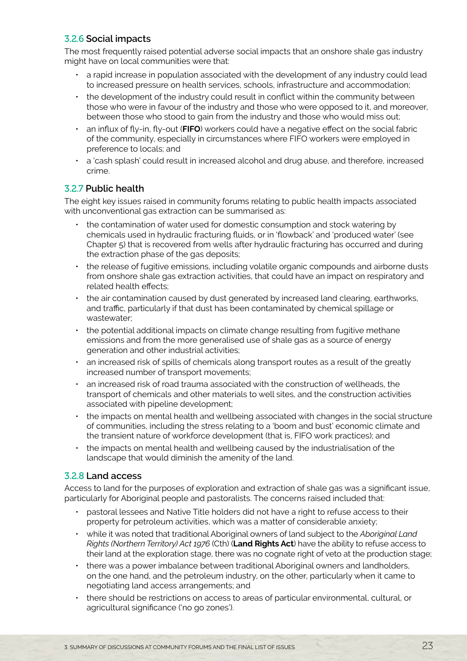# 3.2.6 **Social impacts**

The most frequently raised potential adverse social impacts that an onshore shale gas industry might have on local communities were that:

- a rapid increase in population associated with the development of any industry could lead to increased pressure on health services, schools, infrastructure and accommodation;
- the development of the industry could result in conflict within the community between those who were in favour of the industry and those who were opposed to it, and moreover, between those who stood to gain from the industry and those who would miss out;
- an influx of fly-in, fly-out (**FIFO**) workers could have a negative effect on the social fabric of the community, especially in circumstances where FIFO workers were employed in preference to locals; and
- a 'cash splash' could result in increased alcohol and drug abuse, and therefore, increased crime.

## 3.2.7 **Public health**

The eight key issues raised in community forums relating to public health impacts associated with unconventional gas extraction can be summarised as:

- the contamination of water used for domestic consumption and stock watering by chemicals used in hydraulic fracturing fluids, or in 'flowback' and 'produced water' (see Chapter 5) that is recovered from wells after hydraulic fracturing has occurred and during the extraction phase of the gas deposits;
- the release of fugitive emissions, including volatile organic compounds and airborne dusts from onshore shale gas extraction activities, that could have an impact on respiratory and related health effects;
- the air contamination caused by dust generated by increased land clearing, earthworks, and traffic, particularly if that dust has been contaminated by chemical spillage or wastewater;
- the potential additional impacts on climate change resulting from fugitive methane emissions and from the more generalised use of shale gas as a source of energy generation and other industrial activities;
- an increased risk of spills of chemicals along transport routes as a result of the greatly increased number of transport movements;
- an increased risk of road trauma associated with the construction of wellheads, the transport of chemicals and other materials to well sites, and the construction activities associated with pipeline development;
- the impacts on mental health and wellbeing associated with changes in the social structure of communities, including the stress relating to a 'boom and bust' economic climate and the transient nature of workforce development (that is, FIFO work practices); and
- the impacts on mental health and wellbeing caused by the industrialisation of the landscape that would diminish the amenity of the land.

## 3.2.8 **Land access**

Access to land for the purposes of exploration and extraction of shale gas was a significant issue, particularly for Aboriginal people and pastoralists. The concerns raised included that:

- pastoral lessees and Native Title holders did not have a right to refuse access to their property for petroleum activities, which was a matter of considerable anxiety;
- while it was noted that traditional Aboriginal owners of land subject to the *Aboriginal Land Rights (Northern Territory) Act 1976* (Cth) (**Land Rights Act**) have the ability to refuse access to their land at the exploration stage, there was no cognate right of veto at the production stage;
- there was a power imbalance between traditional Aboriginal owners and landholders, on the one hand, and the petroleum industry, on the other, particularly when it came to negotiating land access arrangements; and
- there should be restrictions on access to areas of particular environmental, cultural, or agricultural significance ('no go zones').